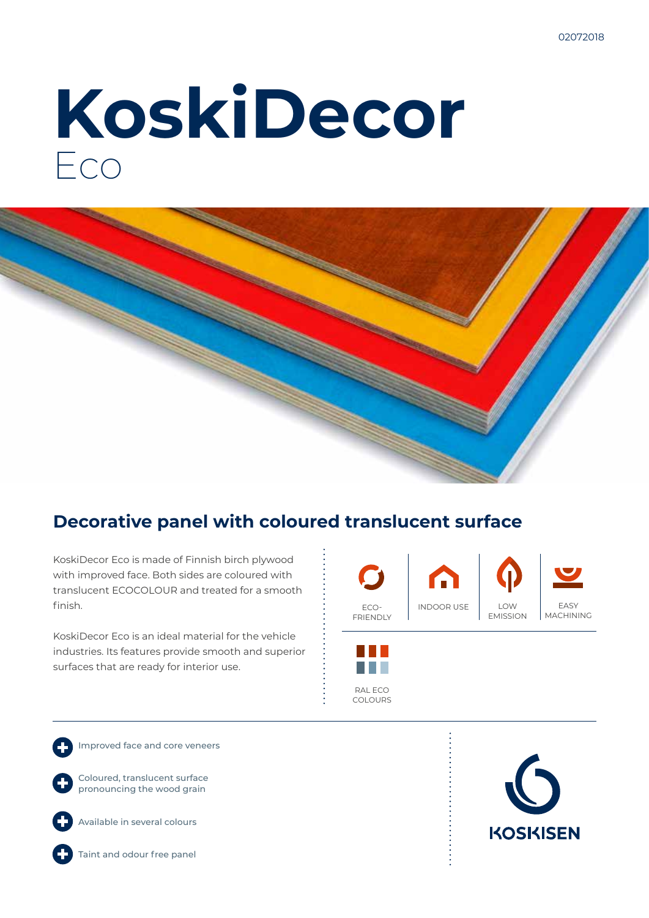# **KoskiDecor** Eco



### **Decorative panel with coloured translucent surface**

KoskiDecor Eco is made of Finnish birch plywood with improved face. Both sides are coloured with translucent ECOCOLOUR and treated for a smooth finish.

KoskiDecor Eco is an ideal material for the vehicle industries. Its features provide smooth and superior surfaces that are ready for interior use.



RAL ECO COLOURS

Improved face and core veneers

Coloured, translucent surface pronouncing the wood grain



Available in several colours

Taint and odour free panel